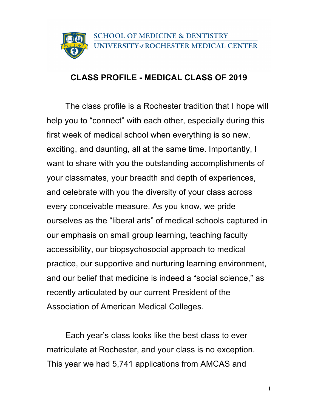

## **CLASS PROFILE - MEDICAL CLASS OF 2019**

The class profile is a Rochester tradition that I hope will help you to "connect" with each other, especially during this first week of medical school when everything is so new, exciting, and daunting, all at the same time. Importantly, I want to share with you the outstanding accomplishments of your classmates, your breadth and depth of experiences, and celebrate with you the diversity of your class across every conceivable measure. As you know, we pride ourselves as the "liberal arts" of medical schools captured in our emphasis on small group learning, teaching faculty accessibility, our biopsychosocial approach to medical practice, our supportive and nurturing learning environment, and our belief that medicine is indeed a "social science," as recently articulated by our current President of the Association of American Medical Colleges.

Each year's class looks like the best class to ever matriculate at Rochester, and your class is no exception. This year we had 5,741 applications from AMCAS and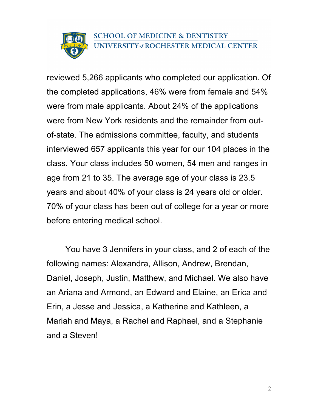

reviewed 5,266 applicants who completed our application. Of the completed applications, 46% were from female and 54% were from male applicants. About 24% of the applications were from New York residents and the remainder from outof-state. The admissions committee, faculty, and students interviewed 657 applicants this year for our 104 places in the class. Your class includes 50 women, 54 men and ranges in age from 21 to 35. The average age of your class is 23.5 years and about 40% of your class is 24 years old or older. 70% of your class has been out of college for a year or more before entering medical school.

You have 3 Jennifers in your class, and 2 of each of the following names: Alexandra, Allison, Andrew, Brendan, Daniel, Joseph, Justin, Matthew, and Michael. We also have an Ariana and Armond, an Edward and Elaine, an Erica and Erin, a Jesse and Jessica, a Katherine and Kathleen, a Mariah and Maya, a Rachel and Raphael, and a Stephanie and a Steven!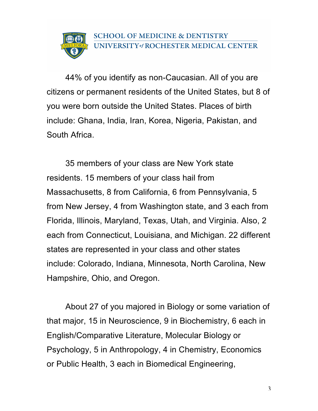

44% of you identify as non-Caucasian. All of you are citizens or permanent residents of the United States, but 8 of you were born outside the United States. Places of birth include: Ghana, India, Iran, Korea, Nigeria, Pakistan, and South Africa.

35 members of your class are New York state residents. 15 members of your class hail from Massachusetts, 8 from California, 6 from Pennsylvania, 5 from New Jersey, 4 from Washington state, and 3 each from Florida, Illinois, Maryland, Texas, Utah, and Virginia. Also, 2 each from Connecticut, Louisiana, and Michigan. 22 different states are represented in your class and other states include: Colorado, Indiana, Minnesota, North Carolina, New Hampshire, Ohio, and Oregon.

About 27 of you majored in Biology or some variation of that major, 15 in Neuroscience, 9 in Biochemistry, 6 each in English/Comparative Literature, Molecular Biology or Psychology, 5 in Anthropology, 4 in Chemistry, Economics or Public Health, 3 each in Biomedical Engineering,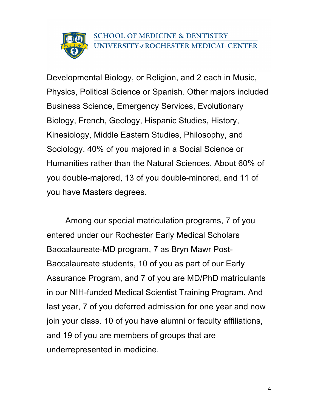

Developmental Biology, or Religion, and 2 each in Music, Physics, Political Science or Spanish. Other majors included Business Science, Emergency Services, Evolutionary Biology, French, Geology, Hispanic Studies, History, Kinesiology, Middle Eastern Studies, Philosophy, and Sociology. 40% of you majored in a Social Science or Humanities rather than the Natural Sciences. About 60% of you double-majored, 13 of you double-minored, and 11 of you have Masters degrees.

Among our special matriculation programs, 7 of you entered under our Rochester Early Medical Scholars Baccalaureate-MD program, 7 as Bryn Mawr Post-Baccalaureate students, 10 of you as part of our Early Assurance Program, and 7 of you are MD/PhD matriculants in our NIH-funded Medical Scientist Training Program. And last year, 7 of you deferred admission for one year and now join your class. 10 of you have alumni or faculty affiliations, and 19 of you are members of groups that are underrepresented in medicine.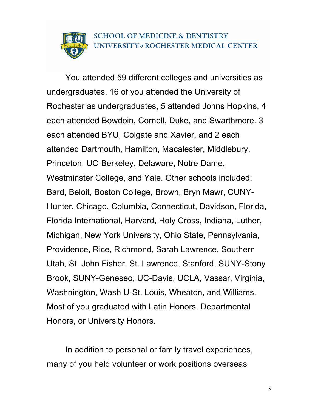## **SCHOOL OF MEDICINE & DENTISTRY** UNIVERSITY of ROCHESTER MEDICAL CENTER

You attended 59 different colleges and universities as undergraduates. 16 of you attended the University of Rochester as undergraduates, 5 attended Johns Hopkins, 4 each attended Bowdoin, Cornell, Duke, and Swarthmore. 3 each attended BYU, Colgate and Xavier, and 2 each attended Dartmouth, Hamilton, Macalester, Middlebury, Princeton, UC-Berkeley, Delaware, Notre Dame, Westminster College, and Yale. Other schools included: Bard, Beloit, Boston College, Brown, Bryn Mawr, CUNY-Hunter, Chicago, Columbia, Connecticut, Davidson, Florida, Florida International, Harvard, Holy Cross, Indiana, Luther, Michigan, New York University, Ohio State, Pennsylvania, Providence, Rice, Richmond, Sarah Lawrence, Southern Utah, St. John Fisher, St. Lawrence, Stanford, SUNY-Stony Brook, SUNY-Geneseo, UC-Davis, UCLA, Vassar, Virginia, Washnington, Wash U-St. Louis, Wheaton, and Williams. Most of you graduated with Latin Honors, Departmental Honors, or University Honors.

In addition to personal or family travel experiences, many of you held volunteer or work positions overseas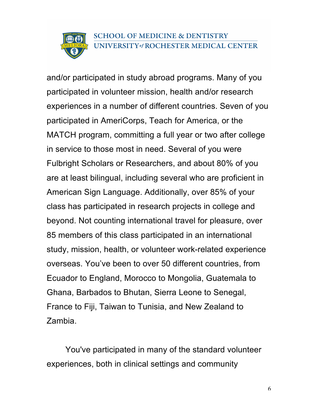

and/or participated in study abroad programs. Many of you participated in volunteer mission, health and/or research experiences in a number of different countries. Seven of you participated in AmeriCorps, Teach for America, or the MATCH program, committing a full year or two after college in service to those most in need. Several of you were Fulbright Scholars or Researchers, and about 80% of you are at least bilingual, including several who are proficient in American Sign Language. Additionally, over 85% of your class has participated in research projects in college and beyond. Not counting international travel for pleasure, over 85 members of this class participated in an international study, mission, health, or volunteer work-related experience overseas. You've been to over 50 different countries, from Ecuador to England, Morocco to Mongolia, Guatemala to Ghana, Barbados to Bhutan, Sierra Leone to Senegal, France to Fiji, Taiwan to Tunisia, and New Zealand to Zambia.

You've participated in many of the standard volunteer experiences, both in clinical settings and community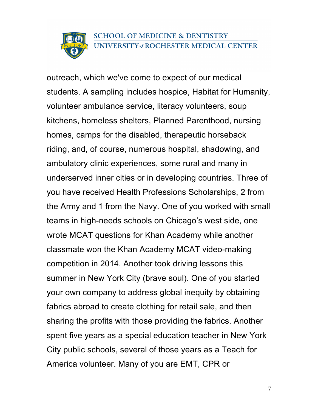

outreach, which we've come to expect of our medical students. A sampling includes hospice, Habitat for Humanity, volunteer ambulance service, literacy volunteers, soup kitchens, homeless shelters, Planned Parenthood, nursing homes, camps for the disabled, therapeutic horseback riding, and, of course, numerous hospital, shadowing, and ambulatory clinic experiences, some rural and many in underserved inner cities or in developing countries. Three of you have received Health Professions Scholarships, 2 from the Army and 1 from the Navy. One of you worked with small teams in high-needs schools on Chicago's west side, one wrote MCAT questions for Khan Academy while another classmate won the Khan Academy MCAT video-making competition in 2014. Another took driving lessons this summer in New York City (brave soul). One of you started your own company to address global inequity by obtaining fabrics abroad to create clothing for retail sale, and then sharing the profits with those providing the fabrics. Another spent five years as a special education teacher in New York City public schools, several of those years as a Teach for America volunteer. Many of you are EMT, CPR or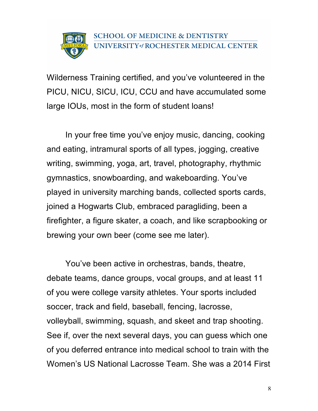Wilderness Training certified, and you've volunteered in the PICU, NICU, SICU, ICU, CCU and have accumulated some large IOUs, most in the form of student loans!

In your free time you've enjoy music, dancing, cooking and eating, intramural sports of all types, jogging, creative writing, swimming, yoga, art, travel, photography, rhythmic gymnastics, snowboarding, and wakeboarding. You've played in university marching bands, collected sports cards, joined a Hogwarts Club, embraced paragliding, been a firefighter, a figure skater, a coach, and like scrapbooking or brewing your own beer (come see me later).

You've been active in orchestras, bands, theatre, debate teams, dance groups, vocal groups, and at least 11 of you were college varsity athletes. Your sports included soccer, track and field, baseball, fencing, lacrosse, volleyball, swimming, squash, and skeet and trap shooting. See if, over the next several days, you can guess which one of you deferred entrance into medical school to train with the Women's US National Lacrosse Team. She was a 2014 First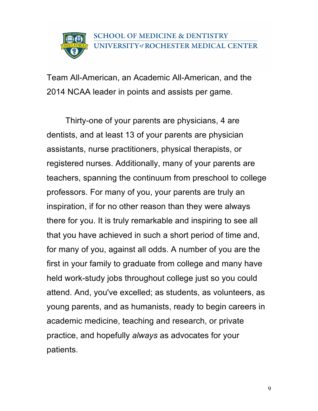Team All-American, an Academic All-American, and the 2014 NCAA leader in points and assists per game.

Thirty-one of your parents are physicians, 4 are dentists, and at least 13 of your parents are physician assistants, nurse practitioners, physical therapists, or registered nurses. Additionally, many of your parents are teachers, spanning the continuum from preschool to college professors. For many of you, your parents are truly an inspiration, if for no other reason than they were always there for you. It is truly remarkable and inspiring to see all that you have achieved in such a short period of time and, for many of you, against all odds. A number of you are the first in your family to graduate from college and many have held work-study jobs throughout college just so you could attend. And, you've excelled; as students, as volunteers, as young parents, and as humanists, ready to begin careers in academic medicine, teaching and research, or private practice, and hopefully *always* as advocates for your patients.

9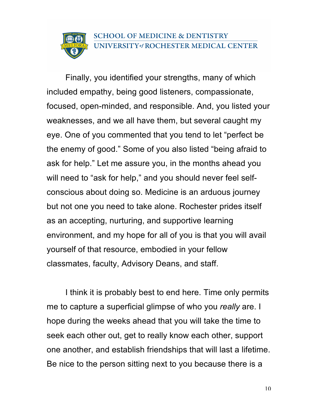## **SCHOOL OF MEDICINE & DENTISTRY** UNIVERSITY of ROCHESTER MEDICAL CENTER

Finally, you identified your strengths, many of which included empathy, being good listeners, compassionate, focused, open-minded, and responsible. And, you listed your weaknesses, and we all have them, but several caught my eye. One of you commented that you tend to let "perfect be the enemy of good." Some of you also listed "being afraid to ask for help." Let me assure you, in the months ahead you will need to "ask for help," and you should never feel selfconscious about doing so. Medicine is an arduous journey but not one you need to take alone. Rochester prides itself as an accepting, nurturing, and supportive learning environment, and my hope for all of you is that you will avail yourself of that resource, embodied in your fellow classmates, faculty, Advisory Deans, and staff.

I think it is probably best to end here. Time only permits me to capture a superficial glimpse of who you *really* are. I hope during the weeks ahead that you will take the time to seek each other out, get to really know each other, support one another, and establish friendships that will last a lifetime. Be nice to the person sitting next to you because there is a